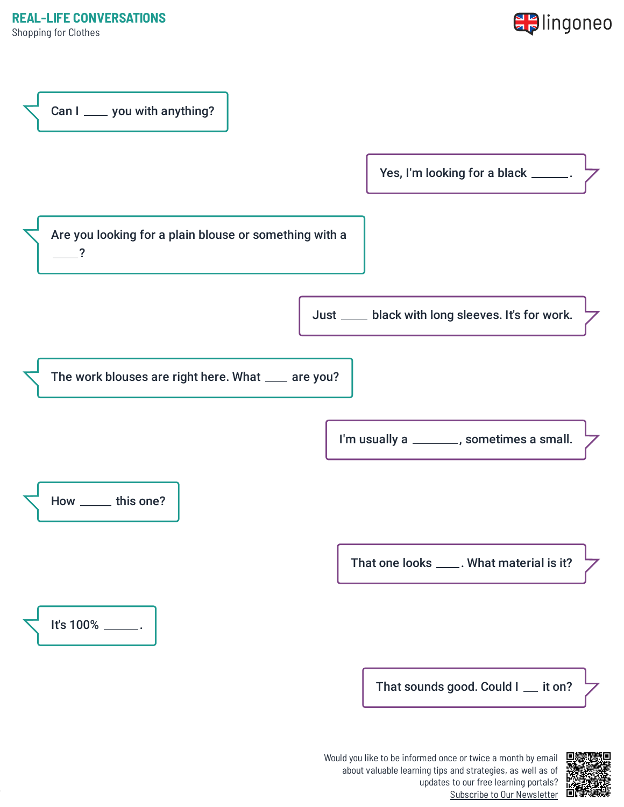Shopping for Clothes